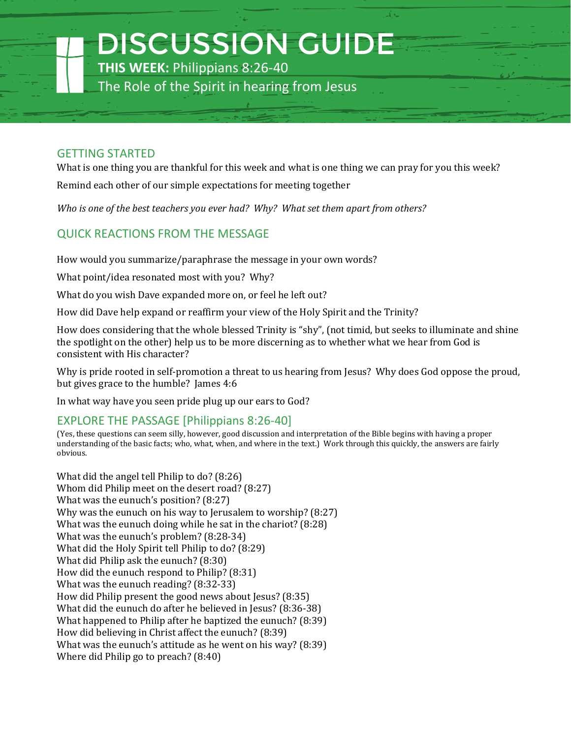DISCUSSION GUIDE

**THIS WEEK:** Philippians 8:26-40

The Role of the Spirit in hearing from Jesus

#### GETTING STARTED

What is one thing you are thankful for this week and what is one thing we can pray for you this week? Remind each other of our simple expectations for meeting together

*Who is one of the best teachers you ever had? Why? What set them apart from others?*

# QUICK REACTIONS FROM THE MESSAGE

How would you summarize/paraphrase the message in your own words?

What point/idea resonated most with you? Why?

What do you wish Dave expanded more on, or feel he left out?

How did Dave help expand or reaffirm your view of the Holy Spirit and the Trinity?

How does considering that the whole blessed Trinity is "shy", (not timid, but seeks to illuminate and shine the spotlight on the other) help us to be more discerning as to whether what we hear from God is consistent with His character?

Why is pride rooted in self-promotion a threat to us hearing from Jesus? Why does God oppose the proud, but gives grace to the humble? James 4:6

In what way have you seen pride plug up our ears to God?

### EXPLORE THE PASSAGE [Philippians 8:26-40]

(Yes, these questions can seem silly, however, good discussion and interpretation of the Bible begins with having a proper understanding of the basic facts; who, what, when, and where in the text.) Work through this quickly, the answers are fairly obvious.

What did the angel tell Philip to do? (8:26) Whom did Philip meet on the desert road? (8:27) What was the eunuch's position? (8:27) Why was the eunuch on his way to Jerusalem to worship? (8:27) What was the eunuch doing while he sat in the chariot? (8:28) What was the eunuch's problem? (8:28-34) What did the Holy Spirit tell Philip to do? (8:29) What did Philip ask the eunuch? (8:30) How did the eunuch respond to Philip? (8:31) What was the eunuch reading? (8:32-33) How did Philip present the good news about Jesus? (8:35) What did the eunuch do after he believed in Jesus? (8:36-38) What happened to Philip after he baptized the eunuch? (8:39) How did believing in Christ affect the eunuch? (8:39) What was the eunuch's attitude as he went on his way? (8:39) Where did Philip go to preach? (8:40)